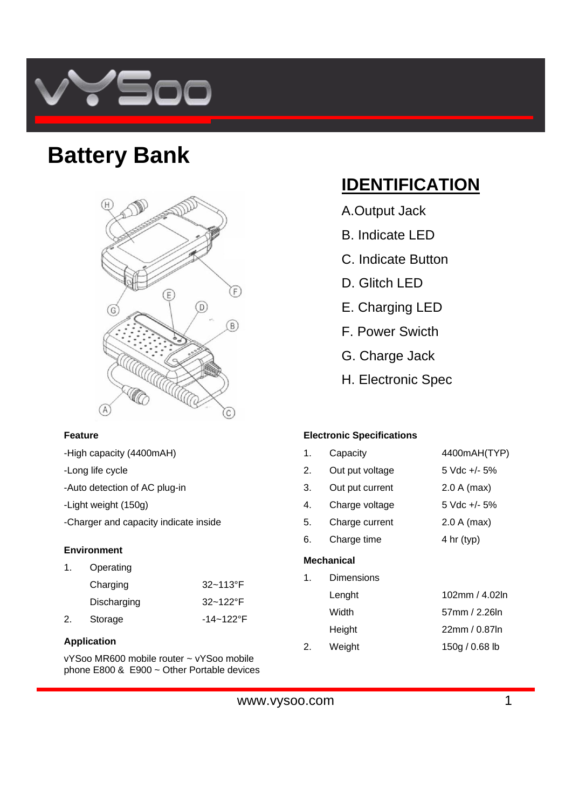

## **Battery Bank**



### **Feature**

- -High capacity (4400mAH)
- -Long life cycle
- -Auto detection of AC plug-in
- -Light weight (150g)
- -Charger and capacity indicate inside

### **Environment**

| 1. | Operating   |                |
|----|-------------|----------------|
|    | Charging    | $32 - 113$ °F  |
|    | Discharging | $32 - 122$ °F  |
| 2. | Storage     | $-14 - 122$ °F |

### **Application**

vYSoo MR600 mobile router ~ vYSoo mobile phone E800 & E900 ~ Other Portable devices

## **IDENTIFICATION**

- A.Output Jack
- B. Indicate LED
- C. Indicate Button
- D. Glitch LED
- E. Charging LED
- F. Power Swicth
- G. Charge Jack
- H. Electronic Spec

### **Electronic Specifications**

| Machanical |                 |                      |  |
|------------|-----------------|----------------------|--|
| 6.         | Charge time     | $4 \text{ hr}$ (typ) |  |
| 5.         | Charge current  | $2.0 A$ (max)        |  |
| 4.         | Charge voltage  | $5$ Vdc $+/-$ 5%     |  |
| 3.         | Out put current | $2.0 A$ (max)        |  |
| 2.         | Out put voltage | $5$ Vdc $+/-$ 5%     |  |
| 1.         | Capacity        | 4400mAH(TYP)         |  |

### **Mechanical**

1. Dimensions Lenght 102mm / 4.02ln Width 57mm / 2.26ln Height 22mm / 0.87ln 2. Weight 150g / 0.68 lb